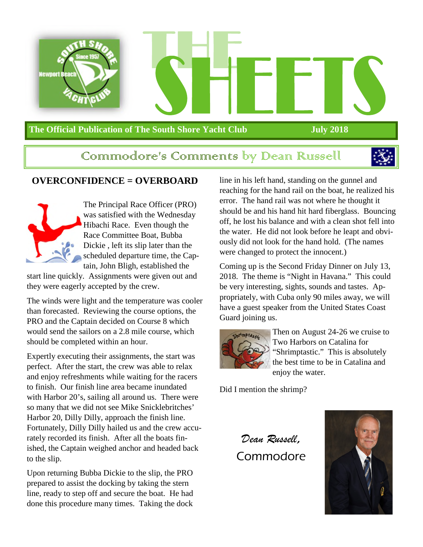

#### **The Official Publication of The South Shore Yacht Club July 2018**

# Commodore's Comments by Dean Russell



#### **OVERCONFIDENCE = OVERBOARD**



The Principal Race Officer (PRO) was satisfied with the Wednesday Hibachi Race. Even though the Race Committee Boat, Bubba Dickie , left its slip later than the scheduled departure time, the Captain, John Bligh, established the

start line quickly. Assignments were given out and they were eagerly accepted by the crew.

The winds were light and the temperature was cooler than forecasted. Reviewing the course options, the PRO and the Captain decided on Course 8 which would send the sailors on a 2.8 mile course, which should be completed within an hour.

Expertly executing their assignments, the start was perfect. After the start, the crew was able to relax and enjoy refreshments while waiting for the racers to finish. Our finish line area became inundated with Harbor 20's, sailing all around us. There were so many that we did not see Mike Snicklebritches' Harbor 20, Dilly Dilly, approach the finish line. Fortunately, Dilly Dilly hailed us and the crew accurately recorded its finish. After all the boats finished, the Captain weighed anchor and headed back to the slip.

Upon returning Bubba Dickie to the slip, the PRO prepared to assist the docking by taking the stern line, ready to step off and secure the boat. He had done this procedure many times. Taking the dock

line in his left hand, standing on the gunnel and reaching for the hand rail on the boat, he realized his error. The hand rail was not where he thought it should be and his hand hit hard fiberglass. Bouncing off, he lost his balance and with a clean shot fell into the water. He did not look before he leapt and obviously did not look for the hand hold. (The names were changed to protect the innocent.)

Coming up is the Second Friday Dinner on July 13, 2018. The theme is "Night in Havana." This could be very interesting, sights, sounds and tastes. Appropriately, with Cuba only 90 miles away, we will have a guest speaker from the United States Coast Guard joining us.



Then on August 24-26 we cruise to Two Harbors on Catalina for "Shrimptastic." This is absolutely the best time to be in Catalina and enjoy the water.

Did I mention the shrimp?

*Dean Russell*, Commodore

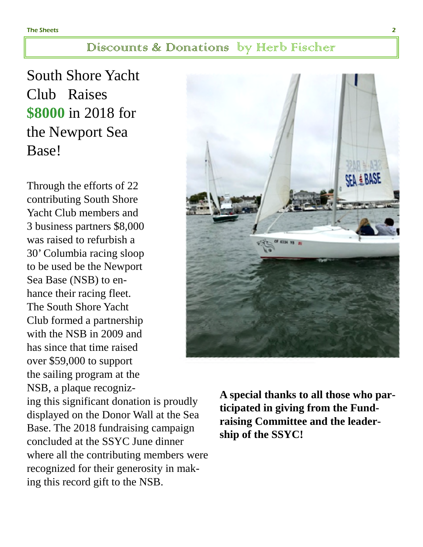### Discounts & Donations by Herb Fischer

South Shore Yacht Club Raises **\$8000** in 2018 for the Newport Sea Base!

Through the efforts of 22 contributing South Shore Yacht Club members and 3 business partners \$8,000 was raised to refurbish a 30' Columbia racing sloop to be used be the Newport Sea Base (NSB) to enhance their racing fleet. The South Shore Yacht Club formed a partnership with the NSB in 2009 and has since that time raised over \$59,000 to support the sailing program at the NSB, a plaque recognizCF 6334 VR =

ing this significant donation is proudly displayed on the Donor Wall at the Sea Base. The 2018 fundraising campaign concluded at the SSYC June dinner where all the contributing members were recognized for their generosity in making this record gift to the NSB.

**A special thanks to all those who participated in giving from the Fundraising Committee and the leadership of the SSYC!**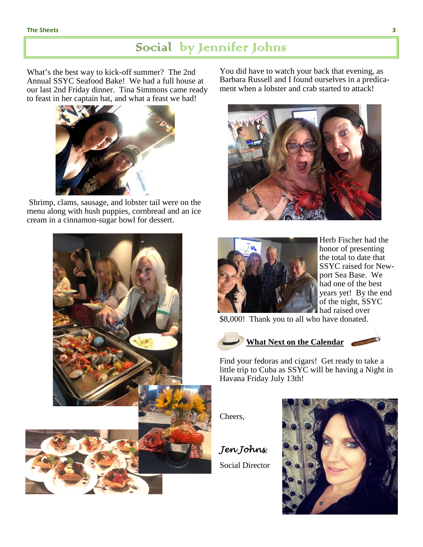# Social by Jennifer Johns

What's the best way to kick-off summer? The 2nd Annual SSYC Seafood Bake! We had a full house at our last 2nd Friday dinner. Tina Simmons came ready to feast in her captain hat, and what a feast we had!



 Shrimp, clams, sausage, and lobster tail were on the menu along with hush puppies, cornbread and an ice cream in a cinnamon-sugar bowl for dessert.

You did have to watch your back that evening, as Barbara Russell and I found ourselves in a predicament when a lobster and crab started to attack!





Herb Fischer had the honor of presenting the total to date that SSYC raised for Newport Sea Base. We had one of the best years yet! By the end of the night, SSYC had raised over

\$8,000! Thank you to all who have donated.



**What Next on the Calendar**

Find your fedoras and cigars! Get ready to take a little trip to Cuba as SSYC will be having a Night in Havana Friday July 13th!

Cheers,

*Jen Johns*,



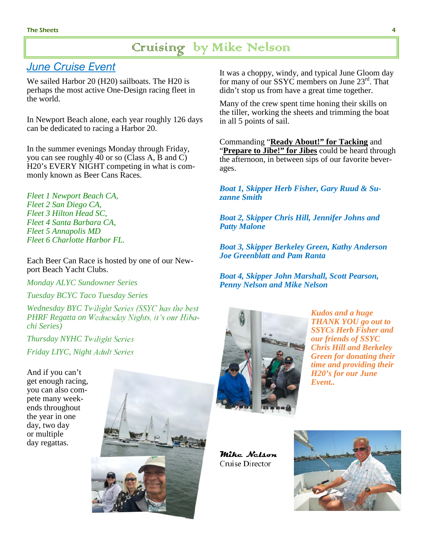# Cruising by Mike Nelson

## *June Cruise Event*

We sailed Harbor 20 (H20) sailboats. The H20 is perhaps the most active One-Design racing fleet in the world.

In Newport Beach alone, each year roughly 126 days can be dedicated to racing a Harbor 20.

In the summer evenings Monday through Friday, you can see roughly 40 or so (Class A, B and C) H20's EVERY NIGHT competing in what is commonly known as Beer Cans Races.

*Fleet 1 Newport Beach CA, Fleet 2 San Diego CA, Fleet 3 Hilton Head SC, Fleet 4 Santa Barbara CA, Fleet 5 Annapolis MD Fleet 6 Charlotte Harbor FL.*

Each Beer Can Race is hosted by one of our Newport Beach Yacht Clubs.

*Monday ALYC Sundowner Series*

*Tuesday BCYC Taco Tuesday Series*

*Wednesday BYC Twilight Series (SSYC has the best PHRF Regatta on Wednesday Nights, it's our Hibachi Series)*

*Thursday NYHC Twilight Series Friday LIYC, Night Adult Series*

And if you can't get enough racing, you can also compete many weekends throughout the year in one day, two day or multiple day regattas.



It was a choppy, windy, and typical June Gloom day for many of our SSYC members on June  $23<sup>rd</sup>$ . That didn't stop us from have a great time together.

Many of the crew spent time honing their skills on the tiller, working the sheets and trimming the boat in all 5 points of sail.

Commanding "**Ready About!" for Tacking** and "**Prepare to Jibe!" for Jibes** could be heard through the afternoon, in between sips of our favorite beverages.

*Boat 1, Skipper Herb Fisher, Gary Ruud & Suzanne Smith*

*Boat 2, Skipper Chris Hill, Jennifer Johns and Patty Malone*

*Boat 3, Skipper Berkeley Green, Kathy Anderson Joe Greenblatt and Pam Ranta*

*Boat 4, Skipper John Marshall, Scott Pearson, Penny Nelson and Mike Nelson*



*Kudos and a huge THANK YOU go out to SSYCs Herb Fisher and our friends of SSYC Chris Hill and Berkeley Green for donating their time and providing their H20's for our June Event..*

**Mike Nelson**  Cruise Director

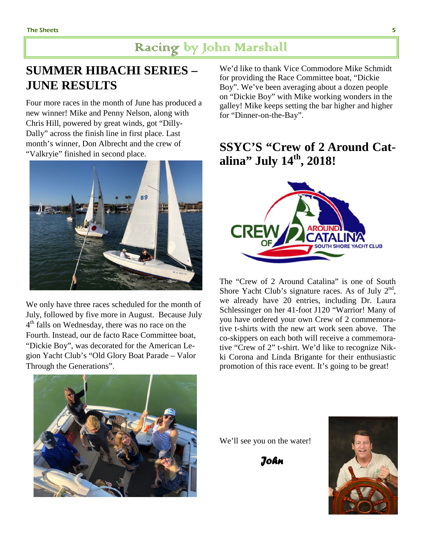# Racing by John Marshall

# **SUMMER HIBACHI SERIES – JUNE RESULTS**

Four more races in the month of June has produced a new winner! Mike and Penny Nelson, along with Chris Hill, powered by great winds, got "Dilly-Dally" across the finish line in first place. Last month's winner, Don Albrecht and the crew of "Valkryie" finished in second place.



We only have three races scheduled for the month of July, followed by five more in August. Because July 4<sup>th</sup> falls on Wednesday, there was no race on the Fourth. Instead, our de facto Race Committee boat, "Dickie Boy", was decorated for the American Legion Yacht Club's "Old Glory Boat Parade – Valor Through the Generations".



We'd like to thank Vice Commodore Mike Schmidt for providing the Race Committee boat, "Dickie Boy". We've been averaging about a dozen people on "Dickie Boy" with Mike working wonders in the galley! Mike keeps setting the bar higher and higher for "Dinner-on-the-Bay".

# **SSYC'S "Crew of 2 Around Catalina" July 14th, 2018!**



The "Crew of 2 Around Catalina" is one of South Shore Yacht Club's signature races. As of July  $2<sup>nd</sup>$ , we already have 20 entries, including Dr. Laura Schlessinger on her 41-foot J120 "Warrior! Many of you have ordered your own Crew of 2 commemorative t-shirts with the new art work seen above. The co-skippers on each both will receive a commemorative "Crew of 2" t-shirt. We'd like to recognize Nikki Corona and Linda Brigante for their enthusiastic promotion of this race event. It's going to be great!

We'll see you on the water!

 *John*

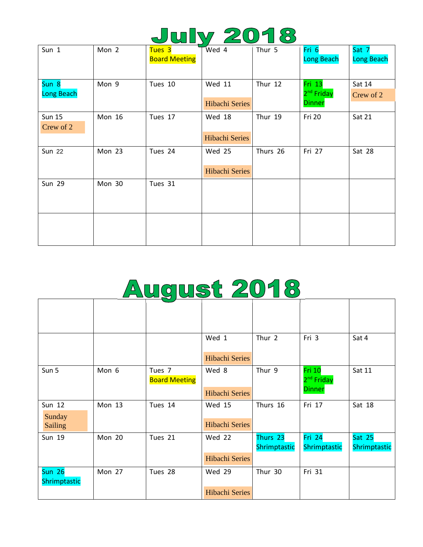|--|

| Sun 1                      | Mon 2         | Tues 3<br><b>Board Meeting</b> | Wed 4                                  | Thur 5   | Fri 6<br><b>Long Beach</b>                        | Sat 7<br><b>Long Beach</b> |
|----------------------------|---------------|--------------------------------|----------------------------------------|----------|---------------------------------------------------|----------------------------|
| Sun 8<br><b>Long Beach</b> | Mon 9         | Tues 10                        | <b>Wed 11</b><br><b>Hibachi Series</b> | Thur 12  | Fri 13<br>2 <sup>nd</sup> Friday<br><b>Dinner</b> | Sat 14<br>Crew of 2        |
| <b>Sun 15</b><br>Crew of 2 | <b>Mon 16</b> | Tues 17                        | Wed 18<br>Hibachi Series               | Thur 19  | Fri 20                                            | Sat 21                     |
| <b>Sun 22</b>              | Mon 23        | Tues 24                        | <b>Wed 25</b><br><b>Hibachi Series</b> | Thurs 26 | Fri 27                                            | Sat 28                     |
| <b>Sun 29</b>              | Mon 30        | Tues 31                        |                                        |          |                                                   |                            |
|                            |               |                                |                                        |          |                                                   |                            |

|                |               |                                |                       |              | 2" Friday                        | Crew of 2    |
|----------------|---------------|--------------------------------|-----------------------|--------------|----------------------------------|--------------|
|                |               |                                | <b>Hibachi Series</b> |              | <b>Dinner</b>                    |              |
| <b>Sun 15</b>  | <b>Mon 16</b> | Tues 17                        | Wed 18                | Thur 19      | Fri 20                           | Sat 21       |
| Crew of 2      |               |                                |                       |              |                                  |              |
|                |               |                                | <b>Hibachi Series</b> |              |                                  |              |
| <b>Sun 22</b>  | Mon 23        | Tues 24                        | Wed 25                | Thurs 26     | Fri 27                           | Sat 28       |
|                |               |                                |                       |              |                                  |              |
|                |               |                                | <b>Hibachi Series</b> |              |                                  |              |
| <b>Sun 29</b>  | Mon 30        | Tues 31                        |                       |              |                                  |              |
|                |               |                                |                       |              |                                  |              |
|                |               |                                |                       |              |                                  |              |
|                |               |                                |                       |              |                                  |              |
|                |               |                                |                       |              |                                  |              |
|                |               |                                |                       |              |                                  |              |
|                |               |                                |                       |              |                                  |              |
|                |               |                                |                       |              |                                  |              |
|                |               | <u>August 2018</u>             |                       |              |                                  |              |
|                |               |                                |                       |              |                                  |              |
|                |               |                                |                       |              |                                  |              |
|                |               |                                |                       |              |                                  |              |
|                |               |                                |                       |              |                                  |              |
|                |               |                                |                       |              |                                  |              |
|                |               |                                | Wed 1                 | Thur 2       | Fri 3                            | Sat 4        |
|                |               |                                |                       |              |                                  |              |
|                |               |                                | <b>Hibachi Series</b> |              |                                  |              |
| Sun 5          | Mon 6         | Tues 7<br><b>Board Meeting</b> | Wed 8                 | Thur 9       | Fri 10<br>2 <sup>nd</sup> Friday | Sat 11       |
|                |               |                                | <b>Hibachi Series</b> |              | <b>Dinner</b>                    |              |
| Sun 12         | <b>Mon 13</b> | Tues 14                        | <b>Wed 15</b>         | Thurs 16     | Fri 17                           | Sat 18       |
| Sunday         |               |                                |                       |              |                                  |              |
| <b>Sailing</b> |               |                                | <b>Hibachi Series</b> |              |                                  |              |
| Sun 19         | Mon 20        | Tues 21                        | <b>Wed 22</b>         | Thurs 23     | <b>Fri 24</b>                    | Sat 25       |
|                |               |                                |                       | Shrimptastic | Shrimptastic                     | Shrimptastic |
|                |               |                                | <b>Hibachi Series</b> |              |                                  |              |
| $S$ un 26      | Mon 27        | Tues 28                        | Wed 29                | Thur 30      | Fri 31                           |              |
| Shrimptastic   |               |                                | Hibachi Series        |              |                                  |              |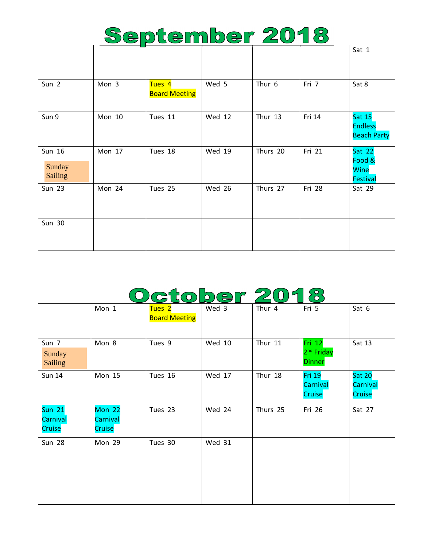# September 2018

 $\overline{\Gamma}$ 

 $\overline{\phantom{0}}$ 

|                                    |        |                                           |               |          |        | Jal T                                                     |
|------------------------------------|--------|-------------------------------------------|---------------|----------|--------|-----------------------------------------------------------|
| Sun 2                              | Mon 3  | Tues <sub>4</sub><br><b>Board Meeting</b> | Wed 5         | Thur 6   | Fri 7  | Sat 8                                                     |
| Sun 9                              | Mon 10 | Tues 11                                   | <b>Wed 12</b> | Thur 13  | Fri 14 | <b>Sat 15</b><br><b>Endless</b><br><b>Beach Party</b>     |
| Sun 16<br>Sunday<br><b>Sailing</b> | Mon 17 | Tues 18                                   | Wed 19        | Thurs 20 | Fri 21 | <b>Sat 22</b><br>Food &<br><b>Wine</b><br><b>Festival</b> |
| <b>Sun 23</b>                      | Mon 24 | Tues 25                                   | Wed 26        | Thurs 27 | Fri 28 | Sat 29                                                    |
| <b>Sun 30</b>                      |        |                                           |               |          |        |                                                           |

# October 2018

|                                     | Mon 1                               | Tues <sub>2</sub><br><b>Board Meeting</b> | Wed 3         | Thur 4   | Fri 5                                             | Sat 6                               |
|-------------------------------------|-------------------------------------|-------------------------------------------|---------------|----------|---------------------------------------------------|-------------------------------------|
| Sun 7<br>Sunday<br><b>Sailing</b>   | Mon 8                               | Tues 9                                    | <b>Wed 10</b> | Thur 11  | Fri 12<br>2 <sup>nd</sup> Friday<br><b>Dinner</b> | Sat 13                              |
| <b>Sun 14</b>                       | Mon 15                              | Tues 16                                   | <b>Wed 17</b> | Thur 18  | <b>Fri 19</b><br>Carnival<br>Cruise               | <b>Sat 20</b><br>Carnival<br>Cruise |
| <b>Sun 21</b><br>Carnival<br>Cruise | <b>Mon 22</b><br>Carnival<br>Cruise | Tues 23                                   | Wed 24        | Thurs 25 | Fri 26                                            | Sat 27                              |
| <b>Sun 28</b>                       | Mon 29                              | Tues 30                                   | <b>Wed 31</b> |          |                                                   |                                     |
|                                     |                                     |                                           |               |          |                                                   |                                     |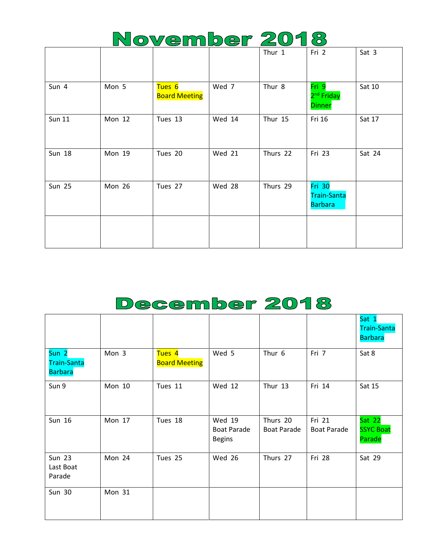|  | November 2018 |  |              |  |
|--|---------------|--|--------------|--|
|  |               |  | <b>Cri</b> 2 |  |

|               |               |                                |               | Thur 1   | Fri 2                                                 | Sat 3  |
|---------------|---------------|--------------------------------|---------------|----------|-------------------------------------------------------|--------|
| Sun 4         | Mon 5         | Tues 6<br><b>Board Meeting</b> | Wed 7         | Thur 8   | Fri 9<br>2 <sup>nd</sup> Friday<br><b>Dinner</b>      | Sat 10 |
| <b>Sun 11</b> | Mon 12        | Tues 13                        | Wed 14        | Thur 15  | Fri 16                                                | Sat 17 |
| <b>Sun 18</b> | <b>Mon 19</b> | Tues 20                        | <b>Wed 21</b> | Thurs 22 | Fri 23                                                | Sat 24 |
| <b>Sun 25</b> | Mon 26        | Tues 27                        | Wed 28        | Thurs 29 | <b>Fri 30</b><br><b>Train-Santa</b><br><b>Barbara</b> |        |
|               |               |                                |               |          |                                                       |        |

# December 2018

|                                                          |               |                                           |                                                      |                                |                              | Sat 1<br><b>Train-Santa</b><br><b>Barbara</b> |
|----------------------------------------------------------|---------------|-------------------------------------------|------------------------------------------------------|--------------------------------|------------------------------|-----------------------------------------------|
| Sun <sub>2</sub><br><b>Train-Santa</b><br><b>Barbara</b> | Mon 3         | Tues <sub>4</sub><br><b>Board Meeting</b> | Wed 5                                                | Thur 6                         | Fri 7                        | Sat 8                                         |
| Sun 9                                                    | <b>Mon 10</b> | Tues 11                                   | <b>Wed 12</b>                                        | Thur 13                        | Fri 14                       | Sat 15                                        |
| Sun 16                                                   | Mon 17        | Tues 18                                   | <b>Wed 19</b><br><b>Boat Parade</b><br><b>Begins</b> | Thurs 20<br><b>Boat Parade</b> | Fri 21<br><b>Boat Parade</b> | <b>Sat 22</b><br><b>SSYC Boat</b><br>Parade   |
| <b>Sun 23</b><br>Last Boat<br>Parade                     | Mon 24        | Tues 25                                   | <b>Wed 26</b>                                        | Thurs 27                       | Fri 28                       | Sat 29                                        |
| <b>Sun 30</b>                                            | Mon 31        |                                           |                                                      |                                |                              |                                               |